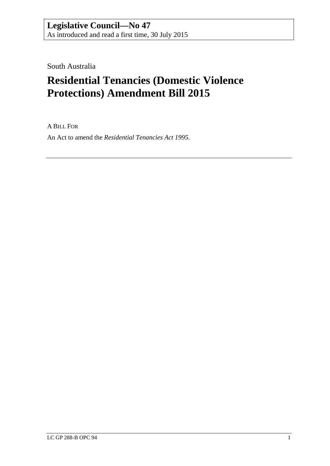South Australia

# **Residential Tenancies (Domestic Violence Protections) Amendment Bill 2015**

A BILL FOR

An Act to amend the *[Residential Tenancies Act](http://www.legislation.sa.gov.au/index.aspx?action=legref&type=act&legtitle=Residential%20Tenancies%20Act%201995) 1995*.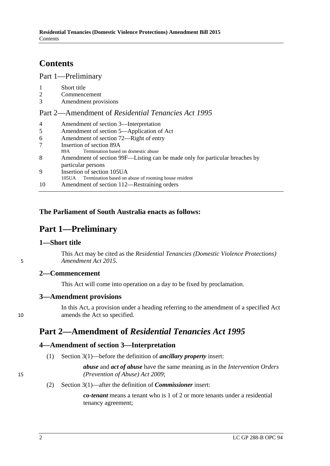# **Contents**

#### Part [1—Preliminary](#page-1-0)

| Short title |
|-------------|
|             |

- 2 [Commencement](#page-1-2)
- 3 [Amendment provisions](#page-1-3)

#### Part 2—Amendment of *[Residential Tenancies Act](#page-1-4) 1995*

| $\overline{4}$ | Amendment of section 3—Interpretation                                        |  |  |  |  |
|----------------|------------------------------------------------------------------------------|--|--|--|--|
| 5              | Amendment of section 5—Application of Act                                    |  |  |  |  |
| 6              | Amendment of section 72—Right of entry                                       |  |  |  |  |
| 7              | Insertion of section 89A                                                     |  |  |  |  |
|                | Termination based on domestic abuse<br>89A                                   |  |  |  |  |
| 8              | Amendment of section 99F—Listing can be made only for particular breaches by |  |  |  |  |
|                | particular persons                                                           |  |  |  |  |
| 9              | Insertion of section 105UA                                                   |  |  |  |  |
|                | Termination based on abuse of rooming house resident<br>105UA                |  |  |  |  |
| 10             | Amendment of section 112—Restraining orders                                  |  |  |  |  |

#### <span id="page-1-0"></span>**The Parliament of South Australia enacts as follows:**

### **Part 1—Preliminary**

#### <span id="page-1-1"></span>**1—Short title**

This Act may be cited as the *Residential Tenancies (Domestic Violence Protections)*  5 *Amendment Act 2015*.

#### <span id="page-1-2"></span>**2—Commencement**

This Act will come into operation on a day to be fixed by proclamation.

#### <span id="page-1-3"></span>**3—Amendment provisions**

In this Act, a provision under a heading referring to the amendment of a specified Act 10 amends the Act so specified.

## <span id="page-1-4"></span>**Part 2—Amendment of** *Residential Tenancies Act 1995*

### <span id="page-1-5"></span>**4—Amendment of section 3—Interpretation**

(1) Section 3(1)—before the definition of *ancillary property* insert:

*abuse* and *act of abuse* have the same meaning as in the *[Intervention Orders](http://www.legislation.sa.gov.au/index.aspx?action=legref&type=act&legtitle=Intervention%20Orders%20(Prevention%20of%20Abuse)%20Act%202009)*  15 *[\(Prevention of Abuse\) Act](http://www.legislation.sa.gov.au/index.aspx?action=legref&type=act&legtitle=Intervention%20Orders%20(Prevention%20of%20Abuse)%20Act%202009) 2009*;

(2) Section 3(1)—after the definition of *Commissioner* insert:

*co-tenant* means a tenant who is 1 of 2 or more tenants under a residential tenancy agreement;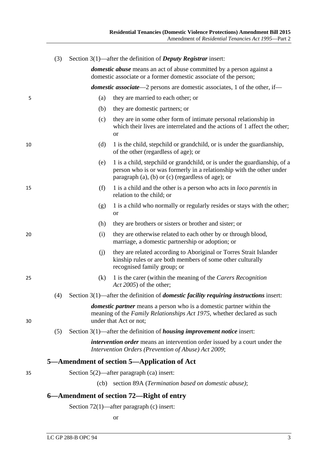<span id="page-2-1"></span><span id="page-2-0"></span>

|    | (3) |      | Section $3(1)$ —after the definition of <i>Deputy Registrar</i> insert:                                                                                                                                       |
|----|-----|------|---------------------------------------------------------------------------------------------------------------------------------------------------------------------------------------------------------------|
|    |     |      | <i>domestic abuse</i> means an act of abuse committed by a person against a<br>domestic associate or a former domestic associate of the person;                                                               |
|    |     |      | <b>domestic associate</b> —2 persons are domestic associates, 1 of the other, if—                                                                                                                             |
| 5  |     | (a)  | they are married to each other; or                                                                                                                                                                            |
|    |     | (b)  | they are domestic partners; or                                                                                                                                                                                |
|    |     | (c)  | they are in some other form of intimate personal relationship in<br>which their lives are interrelated and the actions of 1 affect the other;<br><b>or</b>                                                    |
| 10 |     | (d)  | 1 is the child, stepchild or grandchild, or is under the guardianship,<br>of the other (regardless of age); or                                                                                                |
|    |     | (e)  | 1 is a child, stepchild or grandchild, or is under the guardianship, of a<br>person who is or was formerly in a relationship with the other under<br>paragraph $(a)$ , $(b)$ or $(c)$ (regardless of age); or |
| 15 |     | (f)  | 1 is a child and the other is a person who acts in <i>loco parentis</i> in<br>relation to the child; or                                                                                                       |
|    |     | (g)  | 1 is a child who normally or regularly resides or stays with the other;<br><b>or</b>                                                                                                                          |
|    |     | (h)  | they are brothers or sisters or brother and sister; or                                                                                                                                                        |
| 20 |     | (i)  | they are otherwise related to each other by or through blood,<br>marriage, a domestic partnership or adoption; or                                                                                             |
|    |     | (j)  | they are related according to Aboriginal or Torres Strait Islander<br>kinship rules or are both members of some other culturally<br>recognised family group; or                                               |
| 25 |     | (k)  | 1 is the carer (within the meaning of the Carers Recognition<br>Act 2005) of the other;                                                                                                                       |
|    |     |      | (4) Section $3(1)$ —after the definition of <i>domestic facility requiring instructions</i> insert:                                                                                                           |
| 30 |     |      | <i>domestic partner</i> means a person who is a domestic partner within the<br>meaning of the Family Relationships Act 1975, whether declared as such<br>under that Act or not;                               |
|    | (5) |      | Section $3(1)$ —after the definition of <i>housing improvement notice</i> insert:                                                                                                                             |
|    |     |      | <i>intervention order</i> means an intervention order issued by a court under the<br>Intervention Orders (Prevention of Abuse) Act 2009;                                                                      |
|    |     |      | 5—Amendment of section 5—Application of Act                                                                                                                                                                   |
| 35 |     |      | Section $5(2)$ —after paragraph (ca) insert:                                                                                                                                                                  |
|    |     | (cb) | section 89A (Termination based on domestic abuse);                                                                                                                                                            |
|    |     |      | 6—Amendment of section 72—Right of entry                                                                                                                                                                      |
|    |     |      | Section 72(1)—after paragraph (c) insert:                                                                                                                                                                     |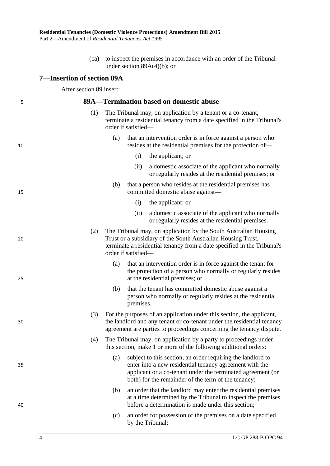(ca) to inspect the premises in accordance with an order of the Tribunal under section 89A(4)(b); or

#### <span id="page-3-0"></span>**7—Insertion of section 89A**

After section 89 insert:

#### <span id="page-3-4"></span>5 **89A—Termination based on domestic abuse**

- (1) The Tribunal may, on application by a tenant or a co-tenant, terminate a residential tenancy from a date specified in the Tribunal's order if satisfied—
- <span id="page-3-2"></span>(a) that an intervention order is in force against a person who 10 resides at the residential premises for the protection of—
	- (i) the applicant; or
	- (ii) a domestic associate of the applicant who normally or regularly resides at the residential premises; or
- <span id="page-3-3"></span>(b) that a person who resides at the residential premises has 15 committed domestic abuse against—
	- (i) the applicant; or
	- (ii) a domestic associate of the applicant who normally or regularly resides at the residential premises.
- (2) The Tribunal may, on application by the South Australian Housing 20 Trust or a subsidiary of the South Australian Housing Trust, terminate a residential tenancy from a date specified in the Tribunal's order if satisfied—
- (a) that an intervention order is in force against the tenant for the protection of a person who normally or regularly resides 25 at the residential premises; or
	- (b) that the tenant has committed domestic abuse against a person who normally or regularly resides at the residential premises.
- <span id="page-3-5"></span>(3) For the purposes of an application under this section, the applicant, 30 the landlord and any tenant or co-tenant under the residential tenancy agreement are parties to proceedings concerning the tenancy dispute.
	- (4) The Tribunal may, on application by a party to proceedings under this section, make 1 or more of the following additional orders:
- <span id="page-3-1"></span>(a) subject to this section, an order requiring the landlord to 35 enter into a new residential tenancy agreement with the applicant or a co-tenant under the terminated agreement (or both) for the remainder of the term of the tenancy;
- (b) an order that the landlord may enter the residential premises at a time determined by the Tribunal to inspect the premises 40 before a determination is made under this section;
	- (c) an order for possession of the premises on a date specified by the Tribunal;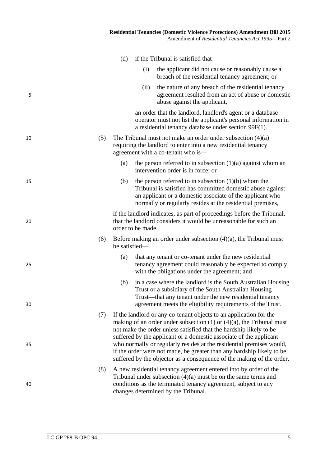|    |     | (d)           |                   | if the Tribunal is satisfied that—                                                                                                                                                                                                                                                                                                                                                                                                                                                                                    |
|----|-----|---------------|-------------------|-----------------------------------------------------------------------------------------------------------------------------------------------------------------------------------------------------------------------------------------------------------------------------------------------------------------------------------------------------------------------------------------------------------------------------------------------------------------------------------------------------------------------|
|    |     |               | (i)               | the applicant did not cause or reasonably cause a<br>breach of the residential tenancy agreement; or                                                                                                                                                                                                                                                                                                                                                                                                                  |
| 5  |     |               | (ii)              | the nature of any breach of the residential tenancy<br>agreement resulted from an act of abuse or domestic<br>abuse against the applicant,                                                                                                                                                                                                                                                                                                                                                                            |
|    |     |               |                   | an order that the landlord, landlord's agent or a database<br>operator must not list the applicant's personal information in<br>a residential tenancy database under section 99F(1).                                                                                                                                                                                                                                                                                                                                  |
| 10 | (5) |               |                   | The Tribunal must not make an order under subsection $(4)(a)$<br>requiring the landlord to enter into a new residential tenancy<br>agreement with a co-tenant who is—                                                                                                                                                                                                                                                                                                                                                 |
|    |     | (a)           |                   | the person referred to in subsection $(1)(a)$ against whom an<br>intervention order is in force; or                                                                                                                                                                                                                                                                                                                                                                                                                   |
| 15 |     | (b)           |                   | the person referred to in subsection $(1)(b)$ whom the<br>Tribunal is satisfied has committed domestic abuse against<br>an applicant or a domestic associate of the applicant who<br>normally or regularly resides at the residential premises,                                                                                                                                                                                                                                                                       |
| 20 |     |               | order to be made. | if the landlord indicates, as part of proceedings before the Tribunal,<br>that the landlord considers it would be unreasonable for such an                                                                                                                                                                                                                                                                                                                                                                            |
|    | (6) | be satisfied— |                   | Before making an order under subsection $(4)(a)$ , the Tribunal must                                                                                                                                                                                                                                                                                                                                                                                                                                                  |
| 25 |     | (a)           |                   | that any tenant or co-tenant under the new residential<br>tenancy agreement could reasonably be expected to comply<br>with the obligations under the agreement; and                                                                                                                                                                                                                                                                                                                                                   |
| 30 |     | (b)           |                   | in a case where the landlord is the South Australian Housing<br>Trust or a subsidiary of the South Australian Housing<br>Trust—that any tenant under the new residential tenancy<br>agreement meets the eligibility requirements of the Trust.                                                                                                                                                                                                                                                                        |
| 35 | (7) |               |                   | If the landlord or any co-tenant objects to an application for the<br>making of an order under subsection $(1)$ or $(4)(a)$ , the Tribunal must<br>not make the order unless satisfied that the hardship likely to be<br>suffered by the applicant or a domestic associate of the applicant<br>who normally or regularly resides at the residential premises would,<br>if the order were not made, be greater than any hardship likely to be<br>suffered by the objector as a consequence of the making of the order. |
| 40 | (8) |               |                   | A new residential tenancy agreement entered into by order of the<br>Tribunal under subsection $(4)(a)$ must be on the same terms and<br>conditions as the terminated tenancy agreement, subject to any<br>changes determined by the Tribunal.                                                                                                                                                                                                                                                                         |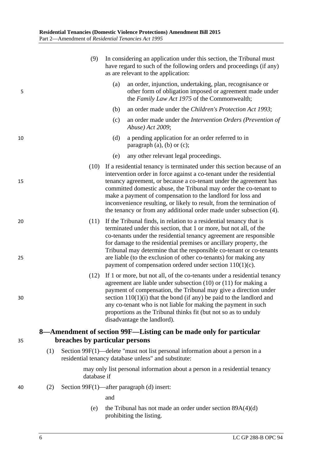<span id="page-5-5"></span><span id="page-5-4"></span><span id="page-5-3"></span><span id="page-5-2"></span><span id="page-5-1"></span><span id="page-5-0"></span>

|          |     | (9)         | In considering an application under this section, the Tribunal must<br>have regard to such of the following orders and proceedings (if any)<br>as are relevant to the application:                                                                                                                                                                                                                                                                                                                        |
|----------|-----|-------------|-----------------------------------------------------------------------------------------------------------------------------------------------------------------------------------------------------------------------------------------------------------------------------------------------------------------------------------------------------------------------------------------------------------------------------------------------------------------------------------------------------------|
| 5        |     |             | an order, injunction, undertaking, plan, recognisance or<br>(a)<br>other form of obligation imposed or agreement made under<br>the Family Law Act 1975 of the Commonwealth;                                                                                                                                                                                                                                                                                                                               |
|          |     |             | an order made under the Children's Protection Act 1993;<br>(b)                                                                                                                                                                                                                                                                                                                                                                                                                                            |
|          |     |             | (c)<br>an order made under the <i>Intervention Orders</i> ( <i>Prevention of</i><br>Abuse) Act 2009;                                                                                                                                                                                                                                                                                                                                                                                                      |
| 10       |     |             | (d)<br>a pending application for an order referred to in<br>paragraph $(a)$ , $(b)$ or $(c)$ ;                                                                                                                                                                                                                                                                                                                                                                                                            |
|          |     |             | any other relevant legal proceedings.<br>(e)                                                                                                                                                                                                                                                                                                                                                                                                                                                              |
| 15       |     | (10)        | If a residential tenancy is terminated under this section because of an<br>intervention order in force against a co-tenant under the residential<br>tenancy agreement, or because a co-tenant under the agreement has<br>committed domestic abuse, the Tribunal may order the co-tenant to<br>make a payment of compensation to the landlord for loss and<br>inconvenience resulting, or likely to result, from the termination of<br>the tenancy or from any additional order made under subsection (4). |
| 20<br>25 |     | (11)        | If the Tribunal finds, in relation to a residential tenancy that is<br>terminated under this section, that 1 or more, but not all, of the<br>co-tenants under the residential tenancy agreement are responsible<br>for damage to the residential premises or ancillary property, the<br>Tribunal may determine that the responsible co-tenant or co-tenants<br>are liable (to the exclusion of other co-tenants) for making any<br>payment of compensation ordered under section $110(1)(c)$ .            |
| 30       |     | (12)        | If 1 or more, but not all, of the co-tenants under a residential tenancy<br>agreement are liable under subsection $(10)$ or $(11)$ for making a<br>payment of compensation, the Tribunal may give a direction under<br>section $110(1)(i)$ that the bond (if any) be paid to the landlord and<br>any co-tenant who is not liable for making the payment in such<br>proportions as the Tribunal thinks fit (but not so as to unduly<br>disadvantage the landlord).                                         |
| 35       |     |             | 8—Amendment of section 99F—Listing can be made only for particular<br>breaches by particular persons                                                                                                                                                                                                                                                                                                                                                                                                      |
|          | (1) |             | Section 99F(1)—delete "must not list personal information about a person in a<br>residential tenancy database unless" and substitute:                                                                                                                                                                                                                                                                                                                                                                     |
|          |     | database if | may only list personal information about a person in a residential tenancy                                                                                                                                                                                                                                                                                                                                                                                                                                |
| 40       | (2) |             | Section 99F(1)—after paragraph (d) insert:                                                                                                                                                                                                                                                                                                                                                                                                                                                                |
|          |     |             | and                                                                                                                                                                                                                                                                                                                                                                                                                                                                                                       |
|          |     | (e)         | the Tribunal has not made an order under section $89A(4)(d)$<br>prohibiting the listing.                                                                                                                                                                                                                                                                                                                                                                                                                  |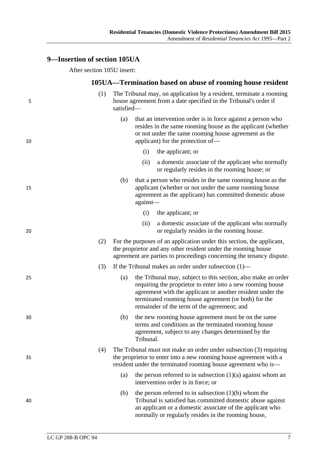### <span id="page-6-0"></span>**9—Insertion of section 105UA**

After section 105U insert:

#### **105UA—Termination based on abuse of rooming house resident**

<span id="page-6-4"></span><span id="page-6-3"></span><span id="page-6-2"></span><span id="page-6-1"></span>

| 5  | (1) | satisfied- |           | The Tribunal may, on application by a resident, terminate a rooming<br>house agreement from a date specified in the Tribunal's order if                                                                                                                                                          |
|----|-----|------------|-----------|--------------------------------------------------------------------------------------------------------------------------------------------------------------------------------------------------------------------------------------------------------------------------------------------------|
| 10 |     | (a)        |           | that an intervention order is in force against a person who<br>resides in the same rooming house as the applicant (whether<br>or not under the same rooming house agreement as the<br>applicant) for the protection of—                                                                          |
|    |     |            | (i)       | the applicant; or                                                                                                                                                                                                                                                                                |
|    |     |            | (ii)      | a domestic associate of the applicant who normally<br>or regularly resides in the rooming house; or                                                                                                                                                                                              |
| 15 |     | (b)        | against-  | that a person who resides in the same rooming house as the<br>applicant (whether or not under the same rooming house<br>agreement as the applicant) has committed domestic abuse                                                                                                                 |
|    |     |            | (i)       | the applicant; or                                                                                                                                                                                                                                                                                |
| 20 |     |            | (ii)      | a domestic associate of the applicant who normally<br>or regularly resides in the rooming house.                                                                                                                                                                                                 |
|    | (2) |            |           | For the purposes of an application under this section, the applicant,<br>the proprietor and any other resident under the rooming house<br>agreement are parties to proceedings concerning the tenancy dispute.                                                                                   |
|    | (3) |            |           | If the Tribunal makes an order under subsection $(1)$ —                                                                                                                                                                                                                                          |
| 25 |     | (a)        |           | the Tribunal may, subject to this section, also make an order<br>requiring the proprietor to enter into a new rooming house<br>agreement with the applicant or another resident under the<br>terminated rooming house agreement (or both) for the<br>remainder of the term of the agreement; and |
| 30 |     | (b)        | Tribunal. | the new rooming house agreement must be on the same<br>terms and conditions as the terminated rooming house<br>agreement, subject to any changes determined by the                                                                                                                               |
| 35 | (4) |            |           | The Tribunal must not make an order under subsection (3) requiring<br>the proprietor to enter into a new rooming house agreement with a<br>resident under the terminated rooming house agreement who is—                                                                                         |
|    |     | (a)        |           | the person referred to in subsection $(1)(a)$ against whom an<br>intervention order is in force; or                                                                                                                                                                                              |
| 40 |     | (b)        |           | the person referred to in subsection $(1)(b)$ whom the<br>Tribunal is satisfied has committed domestic abuse against<br>an applicant or a domestic associate of the applicant who<br>normally or regularly resides in the rooming house,                                                         |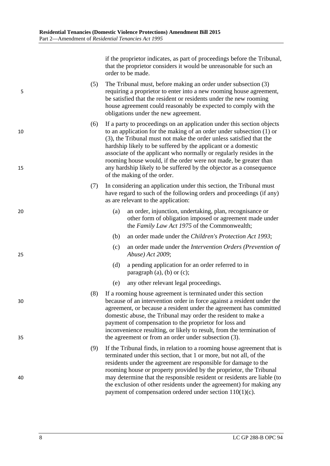if the proprietor indicates, as part of proceedings before the Tribunal, that the proprietor considers it would be unreasonable for such an order to be made.

- (5) The Tribunal must, before making an order under [subsection](#page-6-2) (3) 5 requiring a proprietor to enter into a new rooming house agreement, be satisfied that the resident or residents under the new rooming house agreement could reasonably be expected to comply with the obligations under the new agreement.
- (6) If a party to proceedings on an application under this section objects 10 to an application for the making of an order under [subsection](#page-6-1) (1) or [\(3\),](#page-6-2) the Tribunal must not make the order unless satisfied that the hardship likely to be suffered by the applicant or a domestic associate of the applicant who normally or regularly resides in the rooming house would, if the order were not made, be greater than 15 any hardship likely to be suffered by the objector as a consequence of the making of the order.
	- (7) In considering an application under this section, the Tribunal must have regard to such of the following orders and proceedings (if any) as are relevant to the application:
- <span id="page-7-0"></span>20 (a) an order, injunction, undertaking, plan, recognisance or other form of obligation imposed or agreement made under the *Family Law Act 1975* of the Commonwealth;
	- (b) an order made under the *[Children's Protection Act](http://www.legislation.sa.gov.au/index.aspx?action=legref&type=act&legtitle=Childrens%20Protection%20Act%201993) 1993*;
- <span id="page-7-2"></span><span id="page-7-1"></span>(c) an order made under the *[Intervention Orders \(Prevention of](http://www.legislation.sa.gov.au/index.aspx?action=legref&type=act&legtitle=Intervention%20Orders%20(Prevention%20of%20Abuse)%20Act%202009)*  25 *[Abuse\) Act](http://www.legislation.sa.gov.au/index.aspx?action=legref&type=act&legtitle=Intervention%20Orders%20(Prevention%20of%20Abuse)%20Act%202009) 2009*;
	- (d) a pending application for an order referred to in [paragraph](#page-7-0) (a), [\(b\)](#page-7-1) or [\(c\);](#page-7-2)
	- (e) any other relevant legal proceedings.
- <span id="page-7-3"></span>(8) If a rooming house agreement is terminated under this section 30 because of an intervention order in force against a resident under the agreement, or because a resident under the agreement has committed domestic abuse, the Tribunal may order the resident to make a payment of compensation to the proprietor for loss and inconvenience resulting, or likely to result, from the termination of 35 the agreement or from an order under [subsection](#page-6-2) (3).
- <span id="page-7-4"></span>(9) If the Tribunal finds, in relation to a rooming house agreement that is terminated under this section, that 1 or more, but not all, of the residents under the agreement are responsible for damage to the rooming house or property provided by the proprietor, the Tribunal 40 may determine that the responsible resident or residents are liable (to the exclusion of other residents under the agreement) for making any payment of compensation ordered under section 110(1)(c).